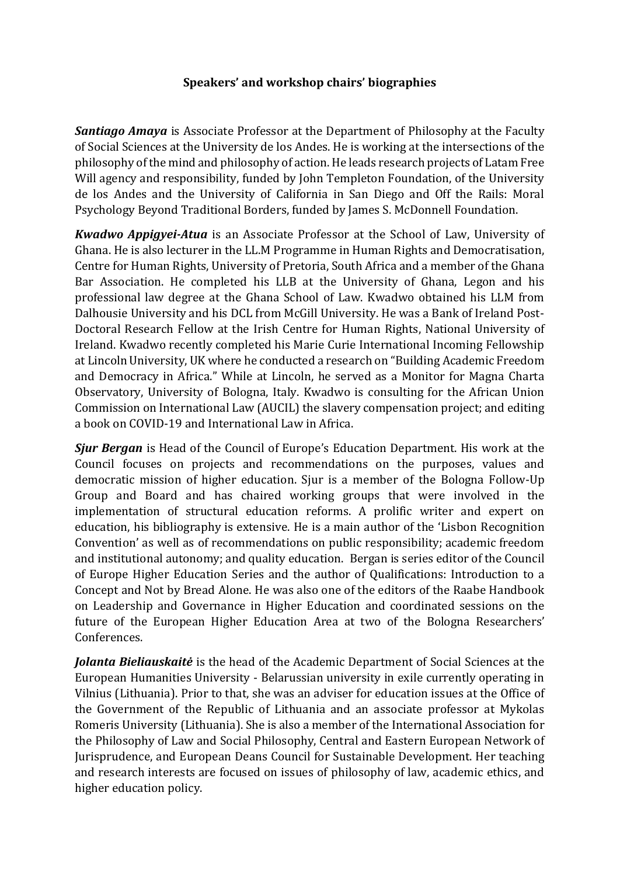## **Speakers' and workshop chairs' biographies**

*Santiago Amaya* is Associate Professor at the Department of Philosophy at the Faculty of Social Sciences at the University de los Andes. He is working at the intersections of the philosophy of the mind and philosophy of action. He leads research projects of Latam Free Will agency and responsibility, funded by John Templeton Foundation, of the University de los Andes and the University of California in San Diego and Off the Rails: Moral Psychology Beyond Traditional Borders, funded by James S. McDonnell Foundation.

*Kwadwo Appigyei-Atua* is an Associate Professor at the School of Law, University of Ghana. He is also lecturer in the LL.M Programme in Human Rights and Democratisation, Centre for Human Rights, University of Pretoria, South Africa and a member of the Ghana Bar Association. He completed his LLB at the University of Ghana, Legon and his professional law degree at the Ghana School of Law. Kwadwo obtained his LLM from Dalhousie University and his DCL from McGill University. He was a Bank of Ireland Post-Doctoral Research Fellow at the Irish Centre for Human Rights, National University of Ireland. Kwadwo recently completed his Marie Curie International Incoming Fellowship at Lincoln University, UK where he conducted a research on "Building Academic Freedom and Democracy in Africa." While at Lincoln, he served as a Monitor for Magna Charta Observatory, University of Bologna, Italy. Kwadwo is consulting for the African Union Commission on International Law (AUCIL) the slavery compensation project; and editing a book on COVID-19 and International Law in Africa.

*Sjur Bergan* is Head of the Council of Europe's Education Department. His work at the Council focuses on projects and recommendations on the purposes, values and democratic mission of higher education. Sjur is a member of the Bologna Follow-Up Group and Board and has chaired working groups that were involved in the implementation of structural education reforms. A prolific writer and expert on education, his bibliography is extensive. He is a main author of the 'Lisbon Recognition Convention' as well as of recommendations on public responsibility; academic freedom and institutional autonomy; and quality education. Bergan is series editor of the Council of Europe Higher Education Series and the author of Qualifications: Introduction to a Concept and Not by Bread Alone. He was also one of the editors of the Raabe Handbook on Leadership and Governance in Higher Education and coordinated sessions on the future of the European Higher Education Area at two of the Bologna Researchers' Conferences.

*Jolanta Bieliauskaitė* is the head of the Academic Department of Social Sciences at the European Humanities University - Belarussian university in exile currently operating in Vilnius (Lithuania). Prior to that, she was an adviser for education issues at the Office of the Government of the Republic of Lithuania and an associate professor at Mykolas Romeris University (Lithuania). She is also a member of the International Association for the Philosophy of Law and Social Philosophy, Central and Eastern European Network of Jurisprudence, and European Deans Council for Sustainable Development. Her teaching and research interests are focused on issues of philosophy of law, academic ethics, and higher education policy.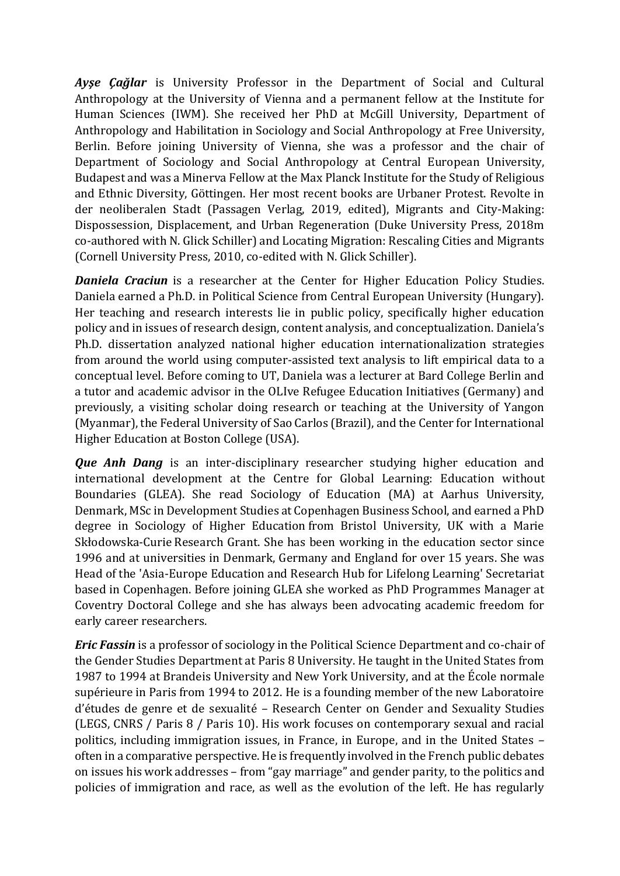*Ayşe Çağlar* is University Professor in the Department of Social and Cultural Anthropology at the University of Vienna and a permanent fellow at the Institute for Human Sciences (IWM). She received her PhD at McGill University, Department of Anthropology and Habilitation in Sociology and Social Anthropology at Free University, Berlin. Before joining University of Vienna, she was a professor and the chair of Department of Sociology and Social Anthropology at Central European University, Budapest and was a Minerva Fellow at the Max Planck Institute for the Study of Religious and Ethnic Diversity, Göttingen. Her most recent books are Urbaner Protest. Revolte in der neoliberalen Stadt (Passagen Verlag, 2019, edited), Migrants and City-Making: Dispossession, Displacement, and Urban Regeneration (Duke University Press, 2018m co-authored with N. Glick Schiller) and Locating Migration: Rescaling Cities and Migrants (Cornell University Press, 2010, co-edited with N. Glick Schiller).

*Daniela Craciun* is a researcher at the Center for Higher Education Policy Studies. Daniela earned a Ph.D. in Political Science from Central European University (Hungary). Her teaching and research interests lie in public policy, specifically higher education policy and in issues of research design, content analysis, and conceptualization. Daniela's Ph.D. dissertation analyzed national higher education internationalization strategies from around the world using computer-assisted text analysis to lift empirical data to a conceptual level. Before coming to UT, Daniela was a lecturer at Bard College Berlin and a tutor and academic advisor in the OLIve Refugee Education Initiatives (Germany) and previously, a visiting scholar doing research or teaching at the University of Yangon (Myanmar), the Federal University of Sao Carlos (Brazil), and the Center for International Higher Education at Boston College (USA).

**Que Anh Dang** is an inter-disciplinary researcher studying higher education and international development at the Centre for Global Learning: Education without Boundaries (GLEA). She read Sociology of Education (MA) at Aarhus University, Denmark, MSc in Development Studies at Copenhagen Business School, and earned a PhD degree in Sociology of Higher Education from Bristol University, UK with a Marie Skłodowska-Curie Research Grant. She has been working in the education sector since 1996 and at universities in Denmark, Germany and England for over 15 years. She was Head of the 'Asia-Europe Education and Research Hub for Lifelong Learning' Secretariat based in Copenhagen. Before joining GLEA she worked as PhD Programmes Manager at Coventry Doctoral College and she has always been advocating academic freedom for early career researchers.

*Eric Fassin* is a professor of sociology in the Political Science Department and co-chair of the Gender Studies Department at Paris 8 University. He taught in the United States from 1987 to 1994 at Brandeis University and New York University, and at the École normale supérieure in Paris from 1994 to 2012. He is a founding member of the new Laboratoire d'études de genre et de sexualité – Research Center on Gender and Sexuality Studies (LEGS, CNRS / Paris 8 / Paris 10). His work focuses on contemporary sexual and racial politics, including immigration issues, in France, in Europe, and in the United States – often in a comparative perspective. He is frequently involved in the French public debates on issues his work addresses – from "gay marriage" and gender parity, to the politics and policies of immigration and race, as well as the evolution of the left. He has regularly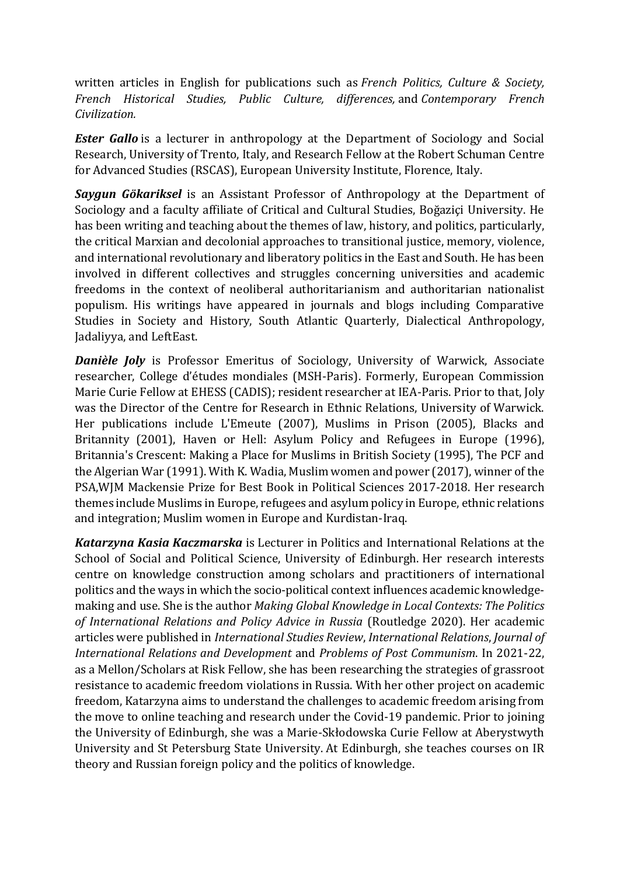written articles in English for publications such as *French Politics, Culture & Society, French Historical Studies, Public Culture, differences,* and *Contemporary French Civilization.*

*Ester Gallo* is a lecturer in anthropology at the Department of Sociology and Social Research, University of Trento, Italy, and Research Fellow at the Robert Schuman Centre for Advanced Studies (RSCAS), European University Institute, Florence, Italy.

*Saygun Gökariksel* is an Assistant Professor of Anthropology at the Department of Sociology and a faculty affiliate of Critical and Cultural Studies, Boğaziçi University. He has been writing and teaching about the themes of law, history, and politics, particularly, the critical Marxian and decolonial approaches to transitional justice, memory, violence, and international revolutionary and liberatory politics in the East and South. He has been involved in different collectives and struggles concerning universities and academic freedoms in the context of neoliberal authoritarianism and authoritarian nationalist populism. His writings have appeared in journals and blogs including Comparative Studies in Society and History, South Atlantic Quarterly, Dialectical Anthropology, Jadaliyya, and LeftEast.

*Danièle Joly* is Professor Emeritus of Sociology, University of Warwick, Associate researcher, College d'études mondiales (MSH-Paris). Formerly, European Commission Marie Curie Fellow at EHESS (CADIS); resident researcher at IEA-Paris. Prior to that, Joly was the Director of the Centre for Research in Ethnic Relations, University of Warwick. Her publications include L'Emeute (2007), Muslims in Prison (2005), Blacks and Britannity (2001), Haven or Hell: Asylum Policy and Refugees in Europe (1996), Britannia's Crescent: Making a Place for Muslims in British Society (1995), The PCF and the Algerian War (1991). With K. Wadia, Muslim women and power (2017), winner of the PSA,WJM Mackensie Prize for Best Book in Political Sciences 2017-2018. Her research themes include Muslims in Europe, refugees and asylum policy in Europe, ethnic relations and integration; Muslim women in Europe and Kurdistan-Iraq.

*Katarzyna Kasia Kaczmarska* is Lecturer in Politics and International Relations at the School of Social and Political Science, University of Edinburgh. Her research interests centre on knowledge construction among scholars and practitioners of international politics and the ways in which the socio-political context influences academic knowledgemaking and use. She is the author *Making Global Knowledge in Local Contexts: The Politics of International Relations and Policy Advice in Russia* (Routledge 2020). Her academic articles were published in *International Studies Review*, *International Relations*, *Journal of International Relations and Development* and *Problems of Post Communism*. In 2021-22, as a Mellon/Scholars at Risk Fellow, she has been researching the strategies of grassroot resistance to academic freedom violations in Russia. With her other project on academic freedom, Katarzyna aims to understand the challenges to academic freedom arising from the move to online teaching and research under the Covid-19 pandemic. Prior to joining the University of Edinburgh, she was a Marie-Skłodowska Curie Fellow at Aberystwyth University and St Petersburg State University. At Edinburgh, she teaches courses on IR theory and Russian foreign policy and the politics of knowledge.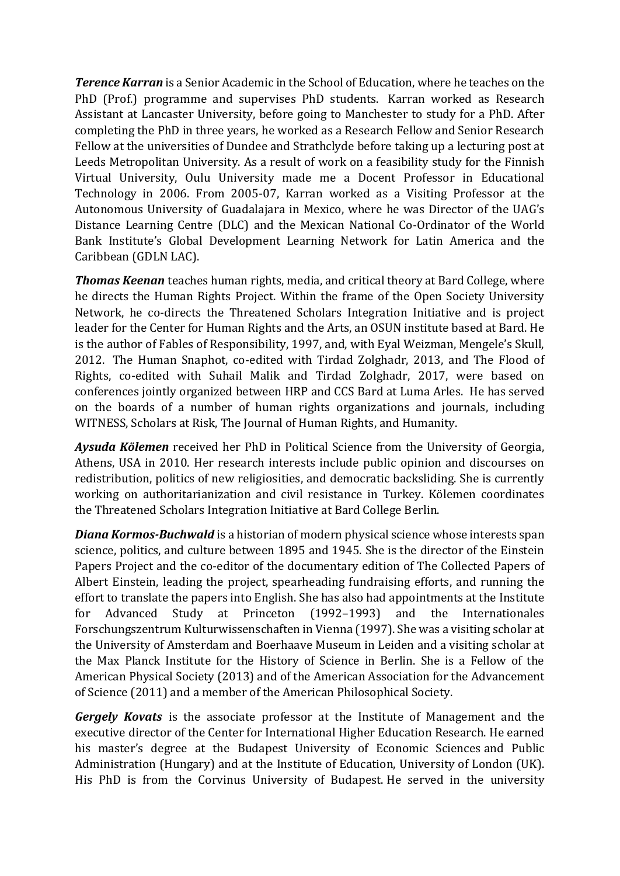*Terence Karran* is a Senior Academic in the School of Education, where he teaches on the PhD (Prof.) programme and supervises PhD students. Karran worked as Research Assistant at Lancaster University, before going to Manchester to study for a PhD. After completing the PhD in three years, he worked as a Research Fellow and Senior Research Fellow at the universities of Dundee and Strathclyde before taking up a lecturing post at Leeds Metropolitan University. As a result of work on a feasibility study for the Finnish Virtual University, Oulu University made me a Docent Professor in Educational Technology in 2006. From 2005-07, Karran worked as a Visiting Professor at the Autonomous University of Guadalajara in Mexico, where he was Director of the UAG's Distance Learning Centre (DLC) and the Mexican National Co-Ordinator of the World Bank Institute's Global Development Learning Network for Latin America and the Caribbean (GDLN LAC).

*Thomas Keenan* teaches human rights, media, and critical theory at Bard College, where he directs the Human Rights Project. Within the frame of the Open Society University Network, he co-directs the Threatened Scholars Integration Initiative and is project leader for the Center for Human Rights and the Arts, an OSUN institute based at Bard. He is the author of Fables of Responsibility, 1997, and, with Eyal Weizman, Mengele's Skull, 2012. The Human Snaphot, co-edited with Tirdad Zolghadr, 2013, and The Flood of Rights, co-edited with Suhail Malik and Tirdad Zolghadr, 2017, were based on conferences jointly organized between HRP and CCS Bard at Luma Arles. He has served on the boards of a number of human rights organizations and journals, including WITNESS, Scholars at Risk, The Journal of Human Rights, and Humanity.

*Aysuda Kölemen* received her PhD in Political Science from the University of Georgia, Athens, USA in 2010. Her research interests include public opinion and discourses on redistribution, politics of new religiosities, and democratic backsliding. She is currently working on authoritarianization and civil resistance in Turkey. Kölemen coordinates the Threatened Scholars Integration Initiative at Bard College Berlin.

*Diana Kormos-Buchwald* is a historian of modern physical science whose interests span science, politics, and culture between 1895 and 1945. She is the director of the Einstein Papers Project and the co-editor of the documentary edition of The Collected Papers of Albert Einstein, leading the project, spearheading fundraising efforts, and running the effort to translate the papers into English. She has also had appointments at the Institute for Advanced Study at Princeton (1992–1993) and the Internationales Forschungszentrum Kulturwissenschaften in Vienna (1997). She was a visiting scholar at the University of Amsterdam and Boerhaave Museum in Leiden and a visiting scholar at the Max Planck Institute for the History of Science in Berlin. She is a Fellow of the American Physical Society (2013) and of the American Association for the Advancement of Science (2011) and a member of the American Philosophical Society.

*Gergely Kovats* is the associate professor at the Institute of Management and the executive director of the Center for International Higher Education Research. He earned his master's degree at the Budapest University of Economic Sciences and Public Administration (Hungary) and at the Institute of Education, University of London (UK). His PhD is from the Corvinus University of Budapest. He served in the university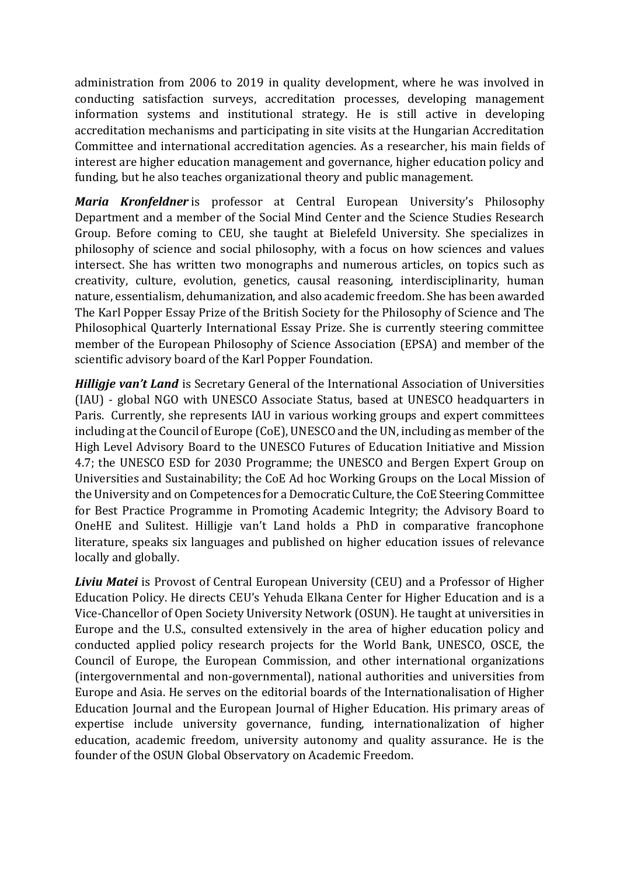administration from 2006 to 2019 in quality development, where he was involved in conducting satisfaction surveys, accreditation processes, developing management information systems and institutional strategy. He is still active in developing accreditation mechanisms and participating in site visits at the Hungarian Accreditation Committee and international accreditation agencies. As a researcher, his main fields of interest are higher education management and governance, higher education policy and funding, but he also teaches organizational theory and public management.

*Maria Kronfeldner* is professor at Central European University's Philosophy Department and a member of the Social Mind Center and the Science Studies Research Group. Before coming to CEU, she taught at Bielefeld University. She specializes in philosophy of science and social philosophy, with a focus on how sciences and values intersect. She has written two monographs and numerous articles, on topics such as creativity, culture, evolution, genetics, causal reasoning, interdisciplinarity, human nature, essentialism, dehumanization, and also academic freedom. She has been awarded The Karl Popper Essay Prize of the British Society for the Philosophy of Science and The Philosophical Quarterly International Essay Prize. She is currently steering committee member of the European Philosophy of Science Association (EPSA) and member of the scientific advisory board of the Karl Popper Foundation.

*Hilligje van't Land* is Secretary General of the International Association of Universities (IAU) - global NGO with UNESCO Associate Status, based at UNESCO headquarters in Paris. Currently, she represents IAU in various working groups and expert committees including at the Council of Europe (CoE), UNESCO and the UN, including as member of the High Level Advisory Board to the UNESCO Futures of Education Initiative and Mission 4.7; the UNESCO ESD for 2030 Programme; the UNESCO and Bergen Expert Group on Universities and Sustainability; the CoE Ad hoc Working Groups on the Local Mission of the University and on Competences for a Democratic Culture, the CoE Steering Committee for Best Practice Programme in Promoting Academic Integrity; the Advisory Board to OneHE and Sulitest. Hilligje van't Land holds a PhD in comparative francophone literature, speaks six languages and published on higher education issues of relevance locally and globally.

*Liviu Matei* is Provost of Central European University (CEU) and a Professor of Higher Education Policy. He directs CEU's Yehuda Elkana Center for Higher Education and is a Vice-Chancellor of Open Society University Network (OSUN). He taught at universities in Europe and the U.S., consulted extensively in the area of higher education policy and conducted applied policy research projects for the World Bank, UNESCO, OSCE, the Council of Europe, the European Commission, and other international organizations (intergovernmental and non-governmental), national authorities and universities from Europe and Asia. He serves on the editorial boards of the Internationalisation of Higher Education Journal and the European Journal of Higher Education. His primary areas of expertise include university governance, funding, internationalization of higher education, academic freedom, university autonomy and quality assurance. He is the founder of the OSUN Global Observatory on Academic Freedom.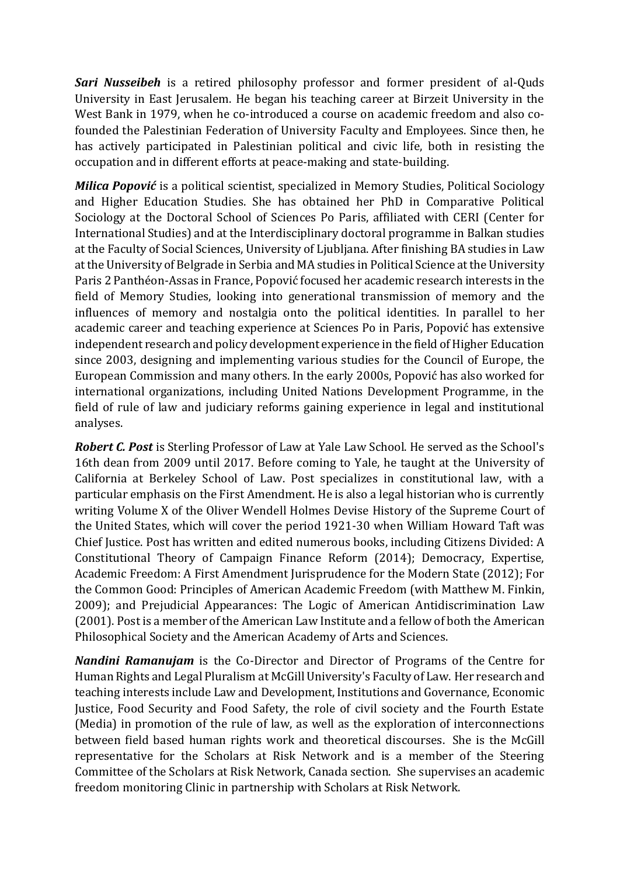*Sari Nusseibeh* is a retired philosophy professor and former president of al-Quds University in East Jerusalem. He began his teaching career at Birzeit University in the West Bank in 1979, when he co-introduced a course on academic freedom and also cofounded the Palestinian Federation of University Faculty and Employees. Since then, he has actively participated in Palestinian political and civic life, both in resisting the occupation and in different efforts at peace-making and state-building.

*Milica Popović* is a political scientist, specialized in Memory Studies, Political Sociology and Higher Education Studies. She has obtained her PhD in Comparative Political Sociology at the Doctoral School of Sciences Po Paris, affiliated with CERI (Center for International Studies) and at the Interdisciplinary doctoral programme in Balkan studies at the Faculty of Social Sciences, University of Ljubljana. After finishing BA studies in Law at the University of Belgrade in Serbia and MA studies in Political Science at the University Paris 2 Panthéon-Assas in France, Popović focused her academic research interests in the field of Memory Studies, looking into generational transmission of memory and the influences of memory and nostalgia onto the political identities. In parallel to her academic career and teaching experience at Sciences Po in Paris, Popović has extensive independent research and policy development experience in the field of Higher Education since 2003, designing and implementing various studies for the Council of Europe, the European Commission and many others. In the early 2000s, Popović has also worked for international organizations, including United Nations Development Programme, in the field of rule of law and judiciary reforms gaining experience in legal and institutional analyses.

*Robert C. Post* is Sterling Professor of Law at Yale Law School. He served as the School's 16th dean from 2009 until 2017. Before coming to Yale, he taught at the University of California at Berkeley School of Law. Post specializes in constitutional law, with a particular emphasis on the First Amendment. He is also a legal historian who is currently writing Volume X of the Oliver Wendell Holmes Devise History of the Supreme Court of the United States, which will cover the period 1921-30 when William Howard Taft was Chief Justice. Post has written and edited numerous books, including Citizens Divided: A Constitutional Theory of Campaign Finance Reform (2014); Democracy, Expertise, Academic Freedom: A First Amendment Jurisprudence for the Modern State (2012); For the Common Good: Principles of American Academic Freedom (with Matthew M. Finkin, 2009); and Prejudicial Appearances: The Logic of American Antidiscrimination Law (2001). Post is a member of the American Law Institute and a fellow of both the American Philosophical Society and the American Academy of Arts and Sciences.

*Nandini Ramanujam* is the Co-Director and Director of Programs of the Centre for Human Rights and Legal Pluralism at McGill University's Faculty of Law. Her research and teaching interests include Law and Development, Institutions and Governance, Economic Justice, Food Security and Food Safety, the role of civil society and the Fourth Estate (Media) in promotion of the rule of law, as well as the exploration of interconnections between field based human rights work and theoretical discourses. She is the McGill representative for the Scholars at Risk Network and is a member of the Steering Committee of the Scholars at Risk Network, Canada section. She supervises an academic freedom monitoring Clinic in partnership with Scholars at Risk Network.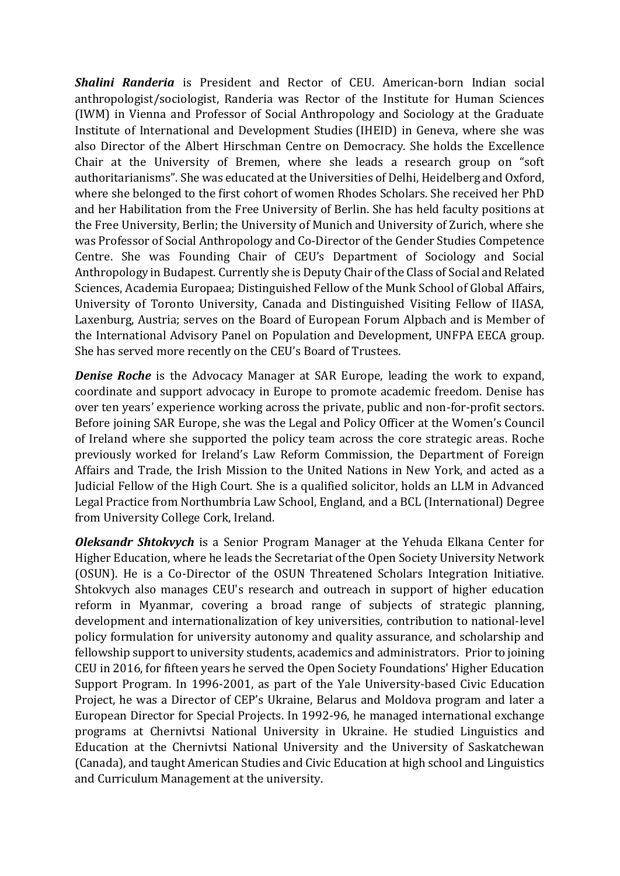*Shalini Randeria* is President and Rector of CEU. American-born Indian social anthropologist/sociologist, Randeria was Rector of the Institute for Human Sciences (IWM) in Vienna and Professor of Social Anthropology and Sociology at the Graduate Institute of International and Development Studies (IHEID) in Geneva, where she was also Director of the Albert Hirschman Centre on Democracy. She holds the Excellence Chair at the University of Bremen, where she leads a research group on "soft authoritarianisms". She was educated at the Universities of Delhi, Heidelberg and Oxford, where she belonged to the first cohort of women Rhodes Scholars. She received her PhD and her Habilitation from the Free University of Berlin. She has held faculty positions at the Free University, Berlin; the University of Munich and University of Zurich, where she was Professor of Social Anthropology and Co-Director of the Gender Studies Competence Centre. She was Founding Chair of CEU's Department of Sociology and Social Anthropology in Budapest. Currently she is Deputy Chair of the Class of Social and Related Sciences, Academia Europaea; Distinguished Fellow of the Munk School of Global Affairs, University of Toronto University, Canada and Distinguished Visiting Fellow of IIASA, Laxenburg, Austria; serves on the Board of European Forum Alpbach and is Member of the International Advisory Panel on Population and Development, UNFPA EECA group. She has served more recently on the CEU's Board of Trustees.

**Denise Roche** is the Advocacy Manager at SAR Europe, leading the work to expand, coordinate and support advocacy in Europe to promote academic freedom. Denise has over ten years' experience working across the private, public and non-for-profit sectors. Before joining SAR Europe, she was the Legal and Policy Officer at the Women's Council of Ireland where she supported the policy team across the core strategic areas. Roche previously worked for Ireland's Law Reform Commission, the Department of Foreign Affairs and Trade, the Irish Mission to the United Nations in New York, and acted as a Judicial Fellow of the High Court. She is a qualified solicitor, holds an LLM in Advanced Legal Practice from Northumbria Law School, England, and a BCL (International) Degree from University College Cork, Ireland.

*Oleksandr Shtokvych* is a Senior Program Manager at the Yehuda Elkana Center for Higher Education, where he leads the Secretariat of the Open Society University Network (OSUN). He is a Co-Director of the OSUN Threatened Scholars Integration Initiative. Shtokvych also manages CEU's research and outreach in support of higher education reform in Myanmar, covering a broad range of subjects of strategic planning, development and internationalization of key universities, contribution to national-level policy formulation for university autonomy and quality assurance, and scholarship and fellowship support to university students, academics and administrators. Prior to joining CEU in 2016, for fifteen years he served the Open Society Foundations' Higher Education Support Program. In 1996-2001, as part of the Yale University-based Civic Education Project, he was a Director of CEP's Ukraine, Belarus and Moldova program and later a European Director for Special Projects. In 1992-96, he managed international exchange programs at Chernivtsi National University in Ukraine. He studied Linguistics and Education at the Chernivtsi National University and the University of Saskatchewan (Canada), and taught American Studies and Civic Education at high school and Linguistics and Curriculum Management at the university.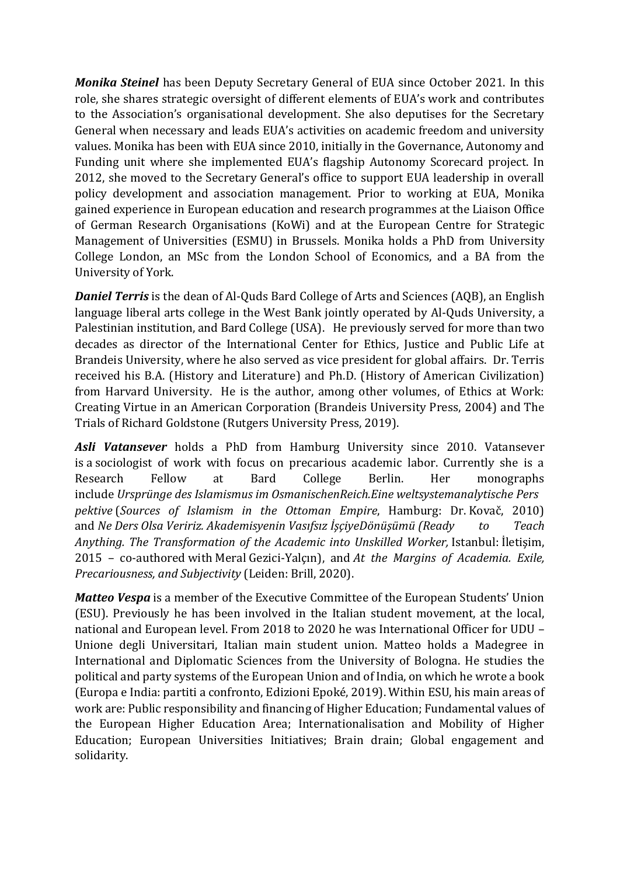*Monika Steinel* has been Deputy Secretary General of EUA since October 2021. In this role, she shares strategic oversight of different elements of EUA's work and contributes to the Association's organisational development. She also deputises for the Secretary General when necessary and leads EUA's activities on academic freedom and university values. Monika has been with EUA since 2010, initially in the Governance, Autonomy and Funding unit where she implemented EUA's flagship Autonomy Scorecard project. In 2012, she moved to the Secretary General's office to support EUA leadership in overall policy development and association management. Prior to working at EUA, Monika gained experience in European education and research programmes at the Liaison Office of German Research Organisations (KoWi) and at the European Centre for Strategic Management of Universities (ESMU) in Brussels. Monika holds a PhD from University College London, an MSc from the London School of Economics, and a BA from the University of York.

*Daniel Terris* is the dean of Al-Quds Bard College of Arts and Sciences (AQB), an English language liberal arts college in the West Bank jointly operated by Al-Quds University, a Palestinian institution, and Bard College (USA). He previously served for more than two decades as director of the International Center for Ethics, Justice and Public Life at Brandeis University, where he also served as vice president for global affairs. Dr. Terris received his B.A. (History and Literature) and Ph.D. (History of American Civilization) from Harvard University. He is the author, among other volumes, of Ethics at Work: Creating Virtue in an American Corporation (Brandeis University Press, 2004) and The Trials of Richard Goldstone (Rutgers University Press, 2019).

*Asli Vatansever* holds a PhD from Hamburg University since 2010. Vatansever is a sociologist of work with focus on precarious academic labor. Currently she is a Research Fellow at Bard College Berlin. Her monographs include *Ursprünge des Islamismus im OsmanischenReich.Eine weltsystemanalytische Pers pektive* (*Sources of Islamism in the Ottoman Empire*, Hamburg: Dr. Kovač, 2010) and *Ne Ders Olsa Veririz. Akademisyenin Vasıfsız İşçiyeDönüşümü (Ready to Teach Anything. The Transformation of the Academic into Unskilled Worker,* Istanbul: İletişim, 2015 – co-authored with Meral Gezici-Yalçın), and *At the Margins of Academia. Exile, Precariousness, and Subjectivity* (Leiden: Brill, 2020).

*Matteo Vespa* is a member of the Executive Committee of the European Students' Union (ESU). Previously he has been involved in the Italian student movement, at the local, national and European level. From 2018 to 2020 he was International Officer for UDU – Unione degli Universitari, Italian main student union. Matteo holds a Madegree in International and Diplomatic Sciences from the University of Bologna. He studies the political and party systems of the European Union and of India, on which he wrote a book (Europa e India: partiti a confronto, Edizioni Epoké, 2019). Within ESU, his main areas of work are: Public responsibility and financing of Higher Education; Fundamental values of the European Higher Education Area; Internationalisation and Mobility of Higher Education; European Universities Initiatives; Brain drain; Global engagement and solidarity.